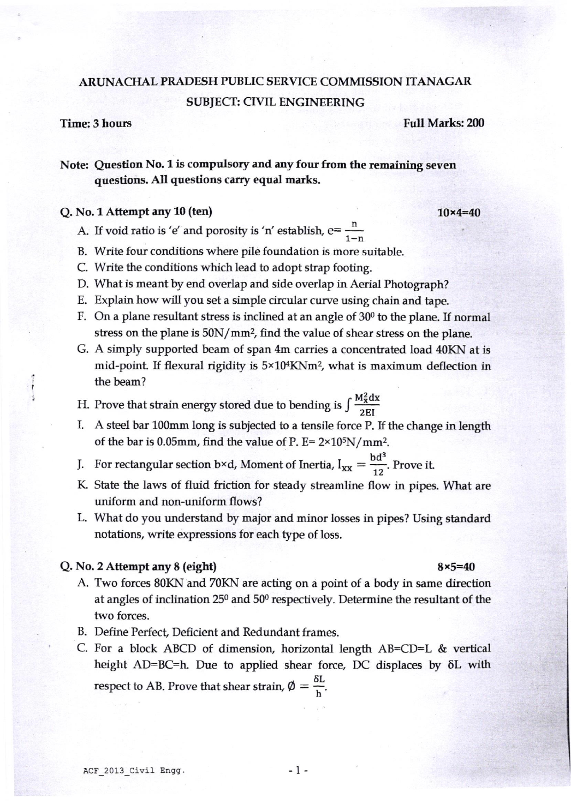# ARUNACHAL PRADESH PUBLIC SERVICE COMMISSION ITANAGAR SUB}ECT: CIVIL ENGINEERING

I

**Time: 3 hours Full Marks: 200** 

## Note: Question No. 1 is compulsory and any four from the remaining seven questions. All questions carry equal marks.

### $Q. No. 1$  Attempt any 10 (ten) 10  $\ast$  10  $\times$  10 $\times$  10 $\times$  10 $\times$  10 $\times$  10 $\times$  10 $\times$  10 $\times$  10 $\times$  10 $\times$  10 $\times$  10 $\times$  10 $\times$  10 $\times$  10 $\times$  10 $\times$  10 $\times$  10 $\times$  10 $\times$  10 $\times$  10 $\times$  10 $\times$  10 $\times$  10 $\times$  10 $\times$  10 $\times$

- A. If void ratio is 'e' and porosity is 'n' establish,  $e = \frac{1}{1}$
- B. Write four conditions where pile foundation is more suitable.
- C. Write the conditions which lead to adopt stap footing.
- D. What is meant by end overlap and side overlap in Aerial Photograph?
- E. Explain how will you set a simple circular curve using chain and tape.
- F. On a plane resultant stress is inclined at an angle of  $30<sup>o</sup>$  to the plane. If normal stress on the plane is 50N/mm<sup>2</sup>, find the value of shear stress on the plane.
- G. A simply supported beam of span 4m carries a concentrated load 40KN at is mid-point. If flexural rigidity is  $5 \times 10^4$ KNm<sup>2</sup>, what is maximum deflection in the beam?
- H. Prove that strain energy stored due to bending is  $\int \frac{M_x^2 dx}{2EI}$ <br>I. A steel bar 100mm long is subjected to a tensile force P. I.
- A steel bar 100mm long is subjected to a tensile force P. If the change in length of the bar is 0.05mm, find the value of P. E=  $2\times10^{5}$ N/mm<sup>2</sup>.
- J. For rectangular section b×d, Moment of Inertia,  $I_{xx} = \frac{bd^3}{12}$ . Prove it.
- K. State the laws of fluid friction for steady streamline flow in pipes. What are uniform and non-uniform flows?
- L. What do you understand by major and minor losses in pipes? Using standard notations, write expressions for each type of loss.

### Q. No. 2 Attempt any  $8$  (eight)  $8 \times 5 = 40$

- A. Two forces 80KN and 70KN are acting on a point of a body in same direction at angles of inclination 250 and 500 respectively. Determine the resultant of the two forces.
- B. Define Perfect, Deficient and Redundant frames.
- C. For a block ABCD of dimension, horizontal length  $AB=CD=L$  & vertical height  $AD=BC=h$ . Due to applied shear force, DC displaces by  $\delta L$  with respect to AB. Prove that shear strain,  $\phi = \frac{\delta L}{h}$ .